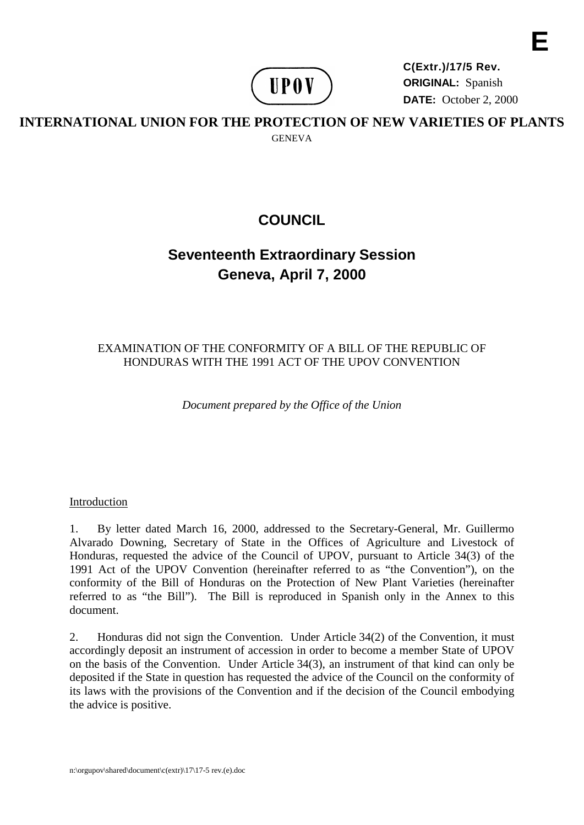

**C(Extr.)/17/5 Rev. ORIGINAL:** Spanish **DATE:** October 2, 2000 **E**

# **INTERNATIONAL UNION FOR THE PROTECTION OF NEW VARIETIES OF PLANTS GENEVA**

# **COUNCIL**

# **Seventeenth Extraordinary Session Geneva, April 7, 2000**

# EXAMINATION OF THE CONFORMITY OF A BILL OF THE REPUBLIC OF HONDURAS WITH THE 1991 ACT OF THE UPOV CONVENTION

*Document prepared by the Office of the Union*

## Introduction

1. By letter dated March 16, 2000, addressed to the Secretary-General, Mr. Guillermo Alvarado Downing, Secretary of State in the Offices of Agriculture and Livestock of Honduras, requested the advice of the Council of UPOV, pursuant to Article 34(3) of the 1991 Act of the UPOV Convention (hereinafter referred to as "the Convention"), on the conformity of the Bill of Honduras on the Protection of New Plant Varieties (hereinafter referred to as "the Bill"). The Bill is reproduced in Spanish only in the Annex to this document.

2. Honduras did not sign the Convention. Under Article 34(2) of the Convention, it must accordingly deposit an instrument of accession in order to become a member State of UPOV on the basis of the Convention. Under Article 34(3), an instrument of that kind can only be deposited if the State in question has requested the advice of the Council on the conformity of its laws with the provisions of the Convention and if the decision of the Council embodying the advice is positive.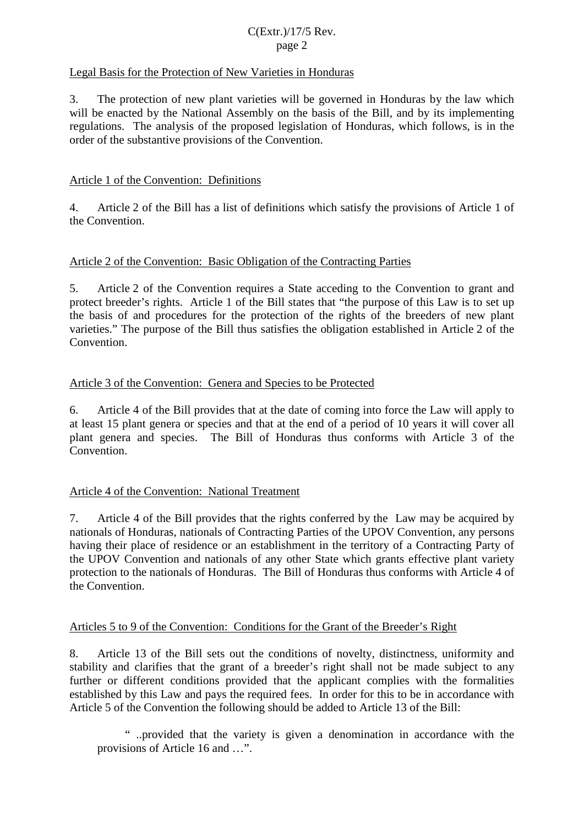### C(Extr.)/17/5 Rev. page 2

### Legal Basis for the Protection of New Varieties in Honduras

3. The protection of new plant varieties will be governed in Honduras by the law which will be enacted by the National Assembly on the basis of the Bill, and by its implementing regulations. The analysis of the proposed legislation of Honduras, which follows, is in the order of the substantive provisions of the Convention.

### Article 1 of the Convention: Definitions

4. Article 2 of the Bill has a list of definitions which satisfy the provisions of Article 1 of the Convention.

### Article 2 of the Convention: Basic Obligation of the Contracting Parties

5. Article 2 of the Convention requires a State acceding to the Convention to grant and protect breeder's rights. Article 1 of the Bill states that "the purpose of this Law is to set up the basis of and procedures for the protection of the rights of the breeders of new plant varieties." The purpose of the Bill thus satisfies the obligation established in Article 2 of the Convention.

### Article 3 of the Convention: Genera and Species to be Protected

6. Article 4 of the Bill provides that at the date of coming into force the Law will apply to at least 15 plant genera or species and that at the end of a period of 10 years it will cover all plant genera and species. The Bill of Honduras thus conforms with Article 3 of the Convention.

#### Article 4 of the Convention: National Treatment

7. Article 4 of the Bill provides that the rights conferred by the Law may be acquired by nationals of Honduras, nationals of Contracting Parties of the UPOV Convention, any persons having their place of residence or an establishment in the territory of a Contracting Party of the UPOV Convention and nationals of any other State which grants effective plant variety protection to the nationals of Honduras. The Bill of Honduras thus conforms with Article 4 of the Convention.

#### Articles 5 to 9 of the Convention: Conditions for the Grant of the Breeder's Right

8. Article 13 of the Bill sets out the conditions of novelty, distinctness, uniformity and stability and clarifies that the grant of a breeder's right shall not be made subject to any further or different conditions provided that the applicant complies with the formalities established by this Law and pays the required fees. In order for this to be in accordance with Article 5 of the Convention the following should be added to Article 13 of the Bill:

" ..provided that the variety is given a denomination in accordance with the provisions of Article 16 and …".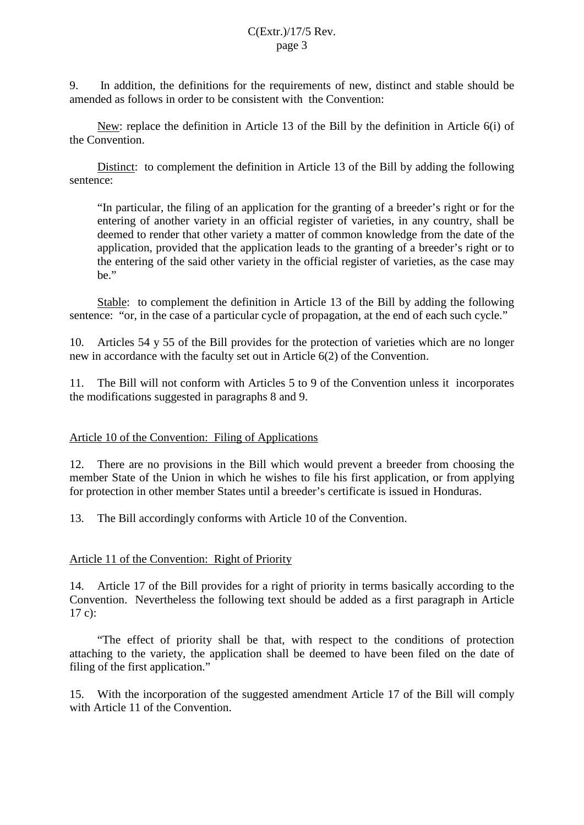9. In addition, the definitions for the requirements of new, distinct and stable should be amended as follows in order to be consistent with the Convention:

New: replace the definition in Article 13 of the Bill by the definition in Article 6(i) of the Convention.

Distinct: to complement the definition in Article 13 of the Bill by adding the following sentence:

"In particular, the filing of an application for the granting of a breeder's right or for the entering of another variety in an official register of varieties, in any country, shall be deemed to render that other variety a matter of common knowledge from the date of the application, provided that the application leads to the granting of a breeder's right or to the entering of the said other variety in the official register of varieties, as the case may be."

Stable: to complement the definition in Article 13 of the Bill by adding the following sentence: "or, in the case of a particular cycle of propagation, at the end of each such cycle."

10. Articles 54 y 55 of the Bill provides for the protection of varieties which are no longer new in accordance with the faculty set out in Article 6(2) of the Convention.

11. The Bill will not conform with Articles 5 to 9 of the Convention unless it incorporates the modifications suggested in paragraphs 8 and 9.

#### Article 10 of the Convention: Filing of Applications

12. There are no provisions in the Bill which would prevent a breeder from choosing the member State of the Union in which he wishes to file his first application, or from applying for protection in other member States until a breeder's certificate is issued in Honduras.

13. The Bill accordingly conforms with Article 10 of the Convention.

#### Article 11 of the Convention: Right of Priority

14. Article 17 of the Bill provides for a right of priority in terms basically according to the Convention. Nevertheless the following text should be added as a first paragraph in Article 17 c):

"The effect of priority shall be that, with respect to the conditions of protection attaching to the variety, the application shall be deemed to have been filed on the date of filing of the first application."

15. With the incorporation of the suggested amendment Article 17 of the Bill will comply with Article 11 of the Convention.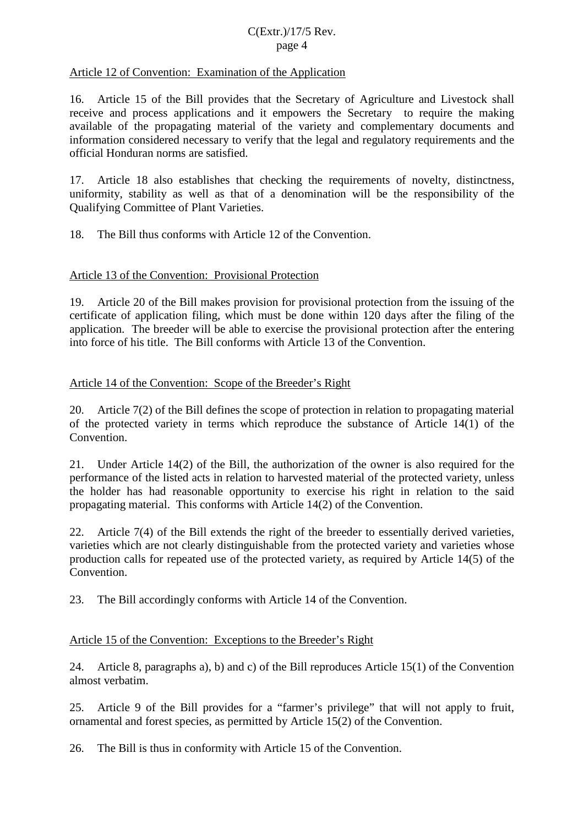### C(Extr.)/17/5 Rev. page 4

### Article 12 of Convention: Examination of the Application

16. Article 15 of the Bill provides that the Secretary of Agriculture and Livestock shall receive and process applications and it empowers the Secretary to require the making available of the propagating material of the variety and complementary documents and information considered necessary to verify that the legal and regulatory requirements and the official Honduran norms are satisfied.

17. Article 18 also establishes that checking the requirements of novelty, distinctness, uniformity, stability as well as that of a denomination will be the responsibility of the Qualifying Committee of Plant Varieties.

18. The Bill thus conforms with Article 12 of the Convention.

#### Article 13 of the Convention: Provisional Protection

19. Article 20 of the Bill makes provision for provisional protection from the issuing of the certificate of application filing, which must be done within 120 days after the filing of the application. The breeder will be able to exercise the provisional protection after the entering into force of his title. The Bill conforms with Article 13 of the Convention.

### Article 14 of the Convention: Scope of the Breeder's Right

20. Article 7(2) of the Bill defines the scope of protection in relation to propagating material of the protected variety in terms which reproduce the substance of Article 14(1) of the Convention.

21. Under Article 14(2) of the Bill, the authorization of the owner is also required for the performance of the listed acts in relation to harvested material of the protected variety, unless the holder has had reasonable opportunity to exercise his right in relation to the said propagating material. This conforms with Article 14(2) of the Convention.

22. Article 7(4) of the Bill extends the right of the breeder to essentially derived varieties, varieties which are not clearly distinguishable from the protected variety and varieties whose production calls for repeated use of the protected variety, as required by Article 14(5) of the Convention.

23. The Bill accordingly conforms with Article 14 of the Convention.

## Article 15 of the Convention: Exceptions to the Breeder's Right

24. Article 8, paragraphs a), b) and c) of the Bill reproduces Article 15(1) of the Convention almost verbatim.

25. Article 9 of the Bill provides for a "farmer's privilege" that will not apply to fruit, ornamental and forest species, as permitted by Article 15(2) of the Convention.

26. The Bill is thus in conformity with Article 15 of the Convention.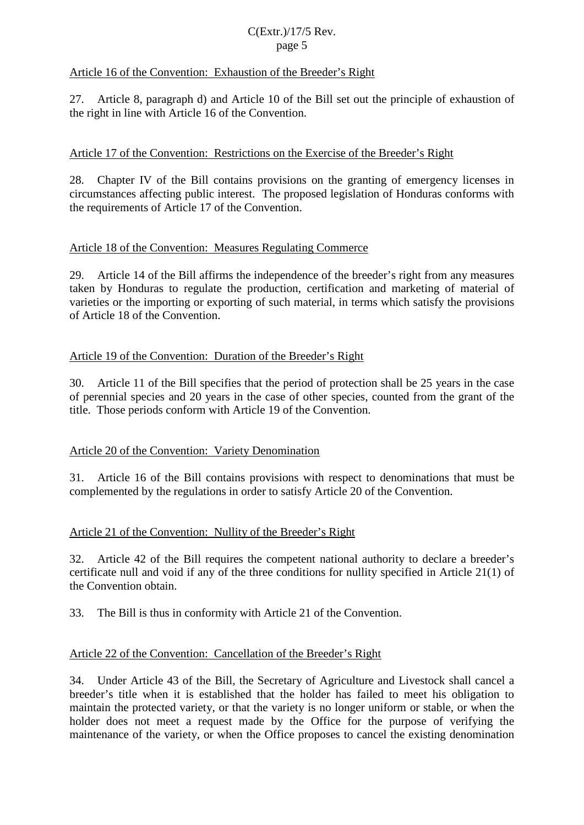## C(Extr.)/17/5 Rev. page 5

## Article 16 of the Convention: Exhaustion of the Breeder's Right

27. Article 8, paragraph d) and Article 10 of the Bill set out the principle of exhaustion of the right in line with Article 16 of the Convention.

### Article 17 of the Convention: Restrictions on the Exercise of the Breeder's Right

28. Chapter IV of the Bill contains provisions on the granting of emergency licenses in circumstances affecting public interest. The proposed legislation of Honduras conforms with the requirements of Article 17 of the Convention.

### Article 18 of the Convention: Measures Regulating Commerce

29. Article 14 of the Bill affirms the independence of the breeder's right from any measures taken by Honduras to regulate the production, certification and marketing of material of varieties or the importing or exporting of such material, in terms which satisfy the provisions of Article 18 of the Convention.

## Article 19 of the Convention: Duration of the Breeder's Right

30. Article 11 of the Bill specifies that the period of protection shall be 25 years in the case of perennial species and 20 years in the case of other species, counted from the grant of the title. Those periods conform with Article 19 of the Convention.

#### Article 20 of the Convention: Variety Denomination

31. Article 16 of the Bill contains provisions with respect to denominations that must be complemented by the regulations in order to satisfy Article 20 of the Convention.

## Article 21 of the Convention: Nullity of the Breeder's Right

32. Article 42 of the Bill requires the competent national authority to declare a breeder's certificate null and void if any of the three conditions for nullity specified in Article 21(1) of the Convention obtain.

33. The Bill is thus in conformity with Article 21 of the Convention.

#### Article 22 of the Convention: Cancellation of the Breeder's Right

34. Under Article 43 of the Bill, the Secretary of Agriculture and Livestock shall cancel a breeder's title when it is established that the holder has failed to meet his obligation to maintain the protected variety, or that the variety is no longer uniform or stable, or when the holder does not meet a request made by the Office for the purpose of verifying the maintenance of the variety, or when the Office proposes to cancel the existing denomination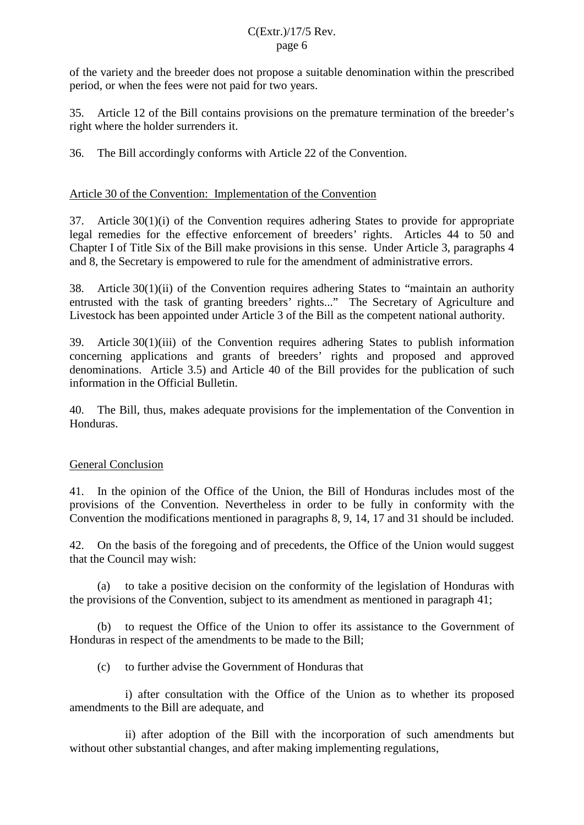of the variety and the breeder does not propose a suitable denomination within the prescribed period, or when the fees were not paid for two years.

35. Article 12 of the Bill contains provisions on the premature termination of the breeder's right where the holder surrenders it.

36. The Bill accordingly conforms with Article 22 of the Convention.

## Article 30 of the Convention: Implementation of the Convention

37. Article 30(1)(i) of the Convention requires adhering States to provide for appropriate legal remedies for the effective enforcement of breeders' rights. Articles 44 to 50 and Chapter I of Title Six of the Bill make provisions in this sense. Under Article 3, paragraphs 4 and 8, the Secretary is empowered to rule for the amendment of administrative errors.

38. Article 30(1)(ii) of the Convention requires adhering States to "maintain an authority entrusted with the task of granting breeders' rights..." The Secretary of Agriculture and Livestock has been appointed under Article 3 of the Bill as the competent national authority.

39. Article 30(1)(iii) of the Convention requires adhering States to publish information concerning applications and grants of breeders' rights and proposed and approved denominations. Article 3.5) and Article 40 of the Bill provides for the publication of such information in the Official Bulletin.

40. The Bill, thus, makes adequate provisions for the implementation of the Convention in Honduras.

## General Conclusion

41. In the opinion of the Office of the Union, the Bill of Honduras includes most of the provisions of the Convention. Nevertheless in order to be fully in conformity with the Convention the modifications mentioned in paragraphs 8, 9, 14, 17 and 31 should be included.

42. On the basis of the foregoing and of precedents, the Office of the Union would suggest that the Council may wish:

(a) to take a positive decision on the conformity of the legislation of Honduras with the provisions of the Convention, subject to its amendment as mentioned in paragraph 41;

(b) to request the Office of the Union to offer its assistance to the Government of Honduras in respect of the amendments to be made to the Bill;

(c) to further advise the Government of Honduras that

i) after consultation with the Office of the Union as to whether its proposed amendments to the Bill are adequate, and

ii) after adoption of the Bill with the incorporation of such amendments but without other substantial changes, and after making implementing regulations,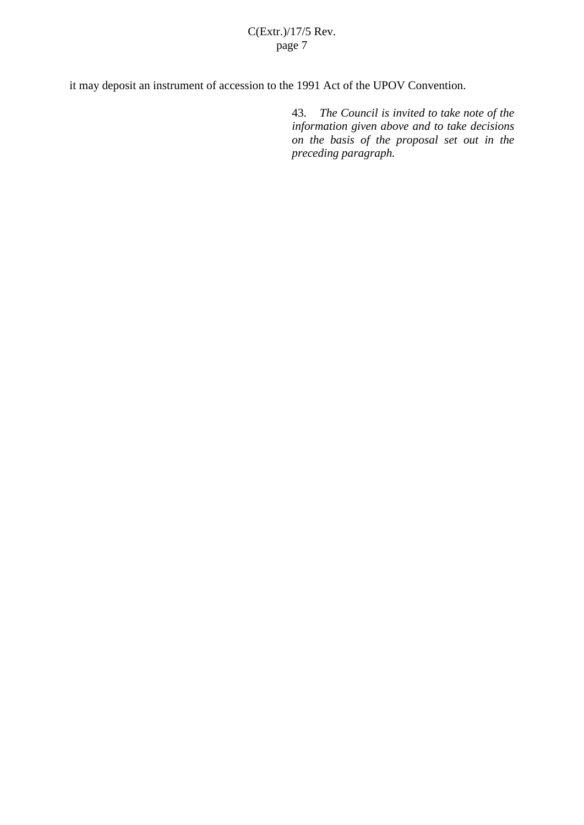# C(Extr.)/17/5 Rev. page 7

it may deposit an instrument of accession to the 1991 Act of the UPOV Convention.

43. *The Council is invited to take note of the information given above and to take decisions on the basis of the proposal set out in the preceding paragraph.*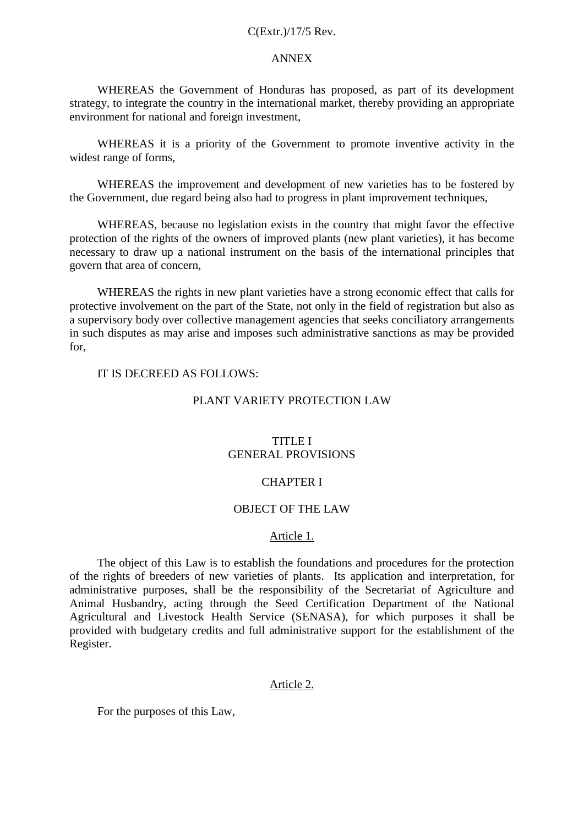#### C(Extr.)/17/5 Rev.

#### ANNEX

WHEREAS the Government of Honduras has proposed, as part of its development strategy, to integrate the country in the international market, thereby providing an appropriate environment for national and foreign investment,

WHEREAS it is a priority of the Government to promote inventive activity in the widest range of forms,

WHEREAS the improvement and development of new varieties has to be fostered by the Government, due regard being also had to progress in plant improvement techniques,

WHEREAS, because no legislation exists in the country that might favor the effective protection of the rights of the owners of improved plants (new plant varieties), it has become necessary to draw up a national instrument on the basis of the international principles that govern that area of concern,

WHEREAS the rights in new plant varieties have a strong economic effect that calls for protective involvement on the part of the State, not only in the field of registration but also as a supervisory body over collective management agencies that seeks conciliatory arrangements in such disputes as may arise and imposes such administrative sanctions as may be provided for,

# IT IS DECREED AS FOLLOWS:

#### PLANT VARIETY PROTECTION LAW

#### TITLE I GENERAL PROVISIONS

#### CHAPTER I

#### OBJECT OF THE LAW

#### Article 1.

The object of this Law is to establish the foundations and procedures for the protection of the rights of breeders of new varieties of plants. Its application and interpretation, for administrative purposes, shall be the responsibility of the Secretariat of Agriculture and Animal Husbandry, acting through the Seed Certification Department of the National Agricultural and Livestock Health Service (SENASA), for which purposes it shall be provided with budgetary credits and full administrative support for the establishment of the Register.

#### Article 2.

For the purposes of this Law,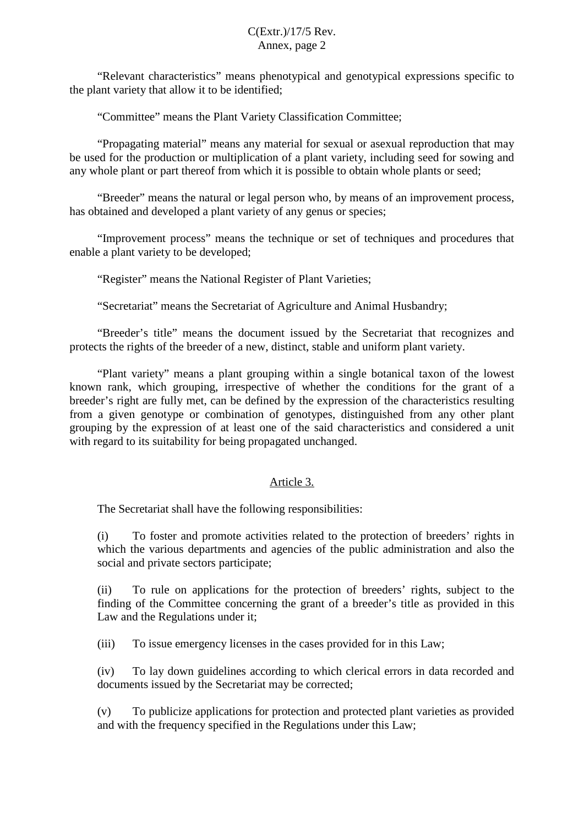"Relevant characteristics" means phenotypical and genotypical expressions specific to the plant variety that allow it to be identified;

"Committee" means the Plant Variety Classification Committee;

"Propagating material" means any material for sexual or asexual reproduction that may be used for the production or multiplication of a plant variety, including seed for sowing and any whole plant or part thereof from which it is possible to obtain whole plants or seed;

"Breeder" means the natural or legal person who, by means of an improvement process, has obtained and developed a plant variety of any genus or species;

"Improvement process" means the technique or set of techniques and procedures that enable a plant variety to be developed;

"Register" means the National Register of Plant Varieties;

"Secretariat" means the Secretariat of Agriculture and Animal Husbandry;

"Breeder's title" means the document issued by the Secretariat that recognizes and protects the rights of the breeder of a new, distinct, stable and uniform plant variety.

"Plant variety" means a plant grouping within a single botanical taxon of the lowest known rank, which grouping, irrespective of whether the conditions for the grant of a breeder's right are fully met, can be defined by the expression of the characteristics resulting from a given genotype or combination of genotypes, distinguished from any other plant grouping by the expression of at least one of the said characteristics and considered a unit with regard to its suitability for being propagated unchanged.

## Article 3.

The Secretariat shall have the following responsibilities:

(i) To foster and promote activities related to the protection of breeders' rights in which the various departments and agencies of the public administration and also the social and private sectors participate;

(ii) To rule on applications for the protection of breeders' rights, subject to the finding of the Committee concerning the grant of a breeder's title as provided in this Law and the Regulations under it;

(iii) To issue emergency licenses in the cases provided for in this Law;

(iv) To lay down guidelines according to which clerical errors in data recorded and documents issued by the Secretariat may be corrected;

(v) To publicize applications for protection and protected plant varieties as provided and with the frequency specified in the Regulations under this Law;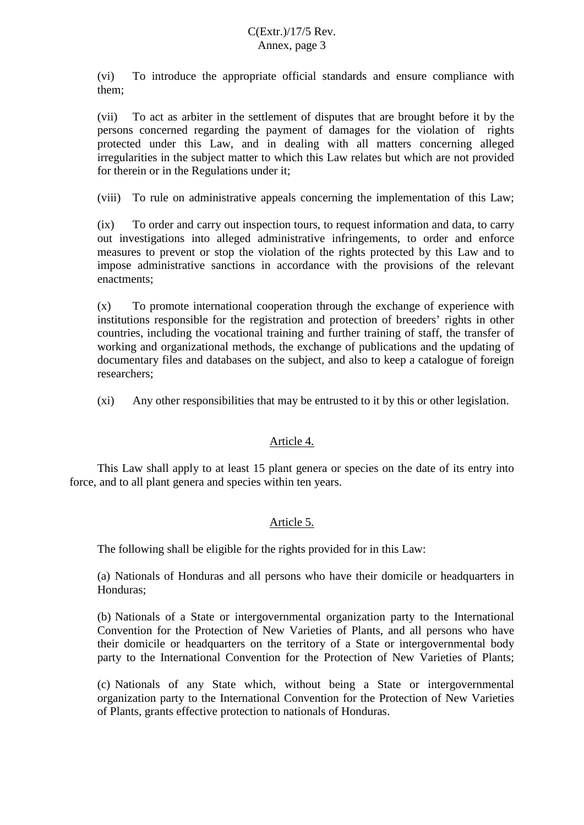(vi) To introduce the appropriate official standards and ensure compliance with them;

(vii) To act as arbiter in the settlement of disputes that are brought before it by the persons concerned regarding the payment of damages for the violation of rights protected under this Law, and in dealing with all matters concerning alleged irregularities in the subject matter to which this Law relates but which are not provided for therein or in the Regulations under it;

(viii) To rule on administrative appeals concerning the implementation of this Law;

(ix) To order and carry out inspection tours, to request information and data, to carry out investigations into alleged administrative infringements, to order and enforce measures to prevent or stop the violation of the rights protected by this Law and to impose administrative sanctions in accordance with the provisions of the relevant enactments;

(x) To promote international cooperation through the exchange of experience with institutions responsible for the registration and protection of breeders' rights in other countries, including the vocational training and further training of staff, the transfer of working and organizational methods, the exchange of publications and the updating of documentary files and databases on the subject, and also to keep a catalogue of foreign researchers;

(xi) Any other responsibilities that may be entrusted to it by this or other legislation.

## Article 4.

This Law shall apply to at least 15 plant genera or species on the date of its entry into force, and to all plant genera and species within ten years.

# Article 5.

The following shall be eligible for the rights provided for in this Law:

(a) Nationals of Honduras and all persons who have their domicile or headquarters in Honduras;

(b) Nationals of a State or intergovernmental organization party to the International Convention for the Protection of New Varieties of Plants, and all persons who have their domicile or headquarters on the territory of a State or intergovernmental body party to the International Convention for the Protection of New Varieties of Plants;

(c) Nationals of any State which, without being a State or intergovernmental organization party to the International Convention for the Protection of New Varieties of Plants, grants effective protection to nationals of Honduras.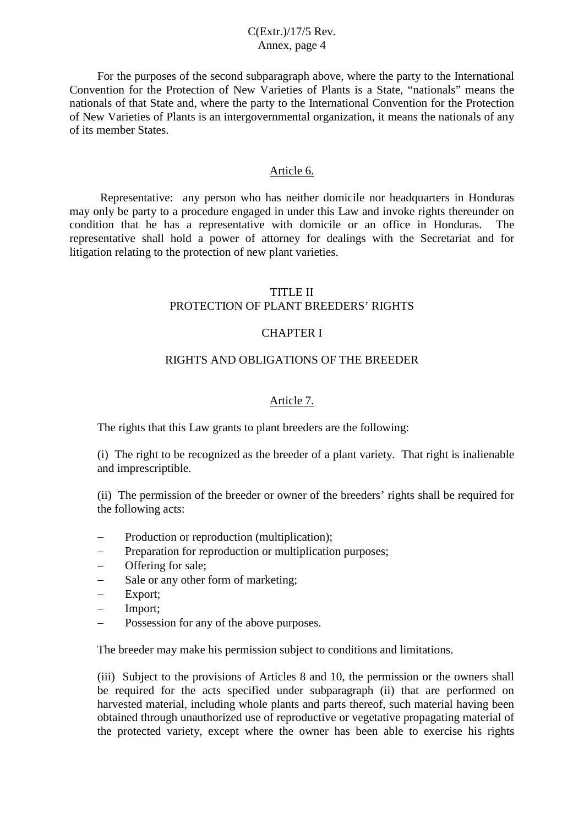For the purposes of the second subparagraph above, where the party to the International Convention for the Protection of New Varieties of Plants is a State, "nationals" means the nationals of that State and, where the party to the International Convention for the Protection of New Varieties of Plants is an intergovernmental organization, it means the nationals of any of its member States.

#### Article 6.

Representative: any person who has neither domicile nor headquarters in Honduras may only be party to a procedure engaged in under this Law and invoke rights thereunder on condition that he has a representative with domicile or an office in Honduras. The representative shall hold a power of attorney for dealings with the Secretariat and for litigation relating to the protection of new plant varieties.

#### TITLE II PROTECTION OF PLANT BREEDERS' RIGHTS

#### CHAPTER I

#### RIGHTS AND OBLIGATIONS OF THE BREEDER

#### Article 7.

The rights that this Law grants to plant breeders are the following:

(i) The right to be recognized as the breeder of a plant variety. That right is inalienable and imprescriptible.

(ii) The permission of the breeder or owner of the breeders' rights shall be required for the following acts:

- Production or reproduction (multiplication);
- Preparation for reproduction or multiplication purposes;
- Offering for sale;
- Sale or any other form of marketing;
- Export;
- Import;
- Possession for any of the above purposes.

The breeder may make his permission subject to conditions and limitations.

(iii) Subject to the provisions of Articles 8 and 10, the permission or the owners shall be required for the acts specified under subparagraph (ii) that are performed on harvested material, including whole plants and parts thereof, such material having been obtained through unauthorized use of reproductive or vegetative propagating material of the protected variety, except where the owner has been able to exercise his rights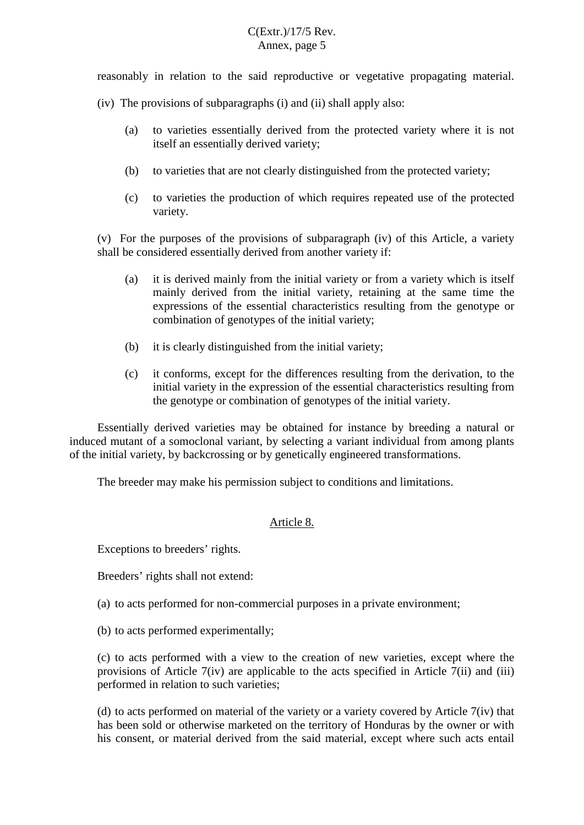reasonably in relation to the said reproductive or vegetative propagating material.

- (iv) The provisions of subparagraphs (i) and (ii) shall apply also:
	- (a) to varieties essentially derived from the protected variety where it is not itself an essentially derived variety;
	- (b) to varieties that are not clearly distinguished from the protected variety;
	- (c) to varieties the production of which requires repeated use of the protected variety.

(v) For the purposes of the provisions of subparagraph (iv) of this Article, a variety shall be considered essentially derived from another variety if:

- (a) it is derived mainly from the initial variety or from a variety which is itself mainly derived from the initial variety, retaining at the same time the expressions of the essential characteristics resulting from the genotype or combination of genotypes of the initial variety;
- (b) it is clearly distinguished from the initial variety;
- (c) it conforms, except for the differences resulting from the derivation, to the initial variety in the expression of the essential characteristics resulting from the genotype or combination of genotypes of the initial variety.

Essentially derived varieties may be obtained for instance by breeding a natural or induced mutant of a somoclonal variant, by selecting a variant individual from among plants of the initial variety, by backcrossing or by genetically engineered transformations.

The breeder may make his permission subject to conditions and limitations.

#### Article 8.

Exceptions to breeders' rights.

Breeders' rights shall not extend:

- (a) to acts performed for non-commercial purposes in a private environment;
- (b) to acts performed experimentally;

(c) to acts performed with a view to the creation of new varieties, except where the provisions of Article 7(iv) are applicable to the acts specified in Article 7(ii) and (iii) performed in relation to such varieties;

(d) to acts performed on material of the variety or a variety covered by Article 7(iv) that has been sold or otherwise marketed on the territory of Honduras by the owner or with his consent, or material derived from the said material, except where such acts entail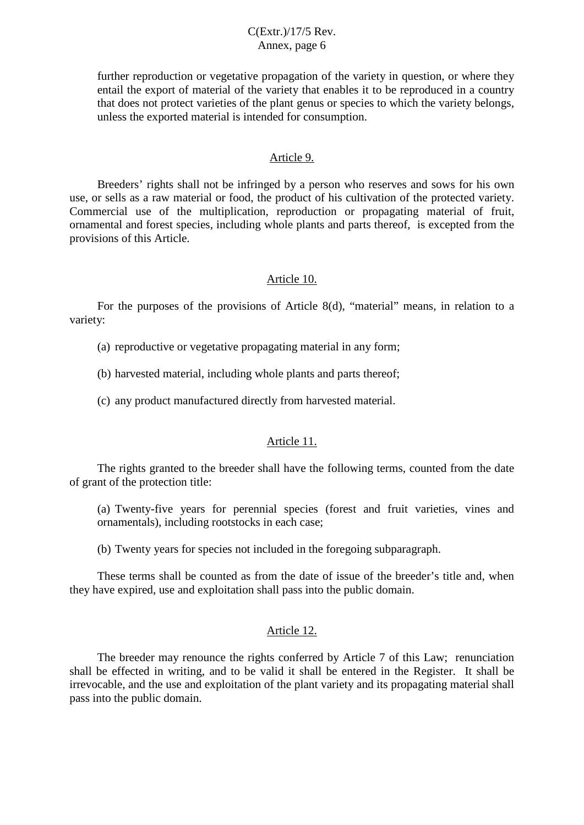further reproduction or vegetative propagation of the variety in question, or where they entail the export of material of the variety that enables it to be reproduced in a country that does not protect varieties of the plant genus or species to which the variety belongs, unless the exported material is intended for consumption.

#### Article 9.

Breeders' rights shall not be infringed by a person who reserves and sows for his own use, or sells as a raw material or food, the product of his cultivation of the protected variety. Commercial use of the multiplication, reproduction or propagating material of fruit, ornamental and forest species, including whole plants and parts thereof, is excepted from the provisions of this Article.

#### Article 10.

For the purposes of the provisions of Article 8(d), "material" means, in relation to a variety:

- (a) reproductive or vegetative propagating material in any form;
- (b) harvested material, including whole plants and parts thereof;
- (c) any product manufactured directly from harvested material.

## Article 11.

The rights granted to the breeder shall have the following terms, counted from the date of grant of the protection title:

(a) Twenty-five years for perennial species (forest and fruit varieties, vines and ornamentals), including rootstocks in each case;

(b) Twenty years for species not included in the foregoing subparagraph.

These terms shall be counted as from the date of issue of the breeder's title and, when they have expired, use and exploitation shall pass into the public domain.

## Article 12.

The breeder may renounce the rights conferred by Article 7 of this Law; renunciation shall be effected in writing, and to be valid it shall be entered in the Register. It shall be irrevocable, and the use and exploitation of the plant variety and its propagating material shall pass into the public domain.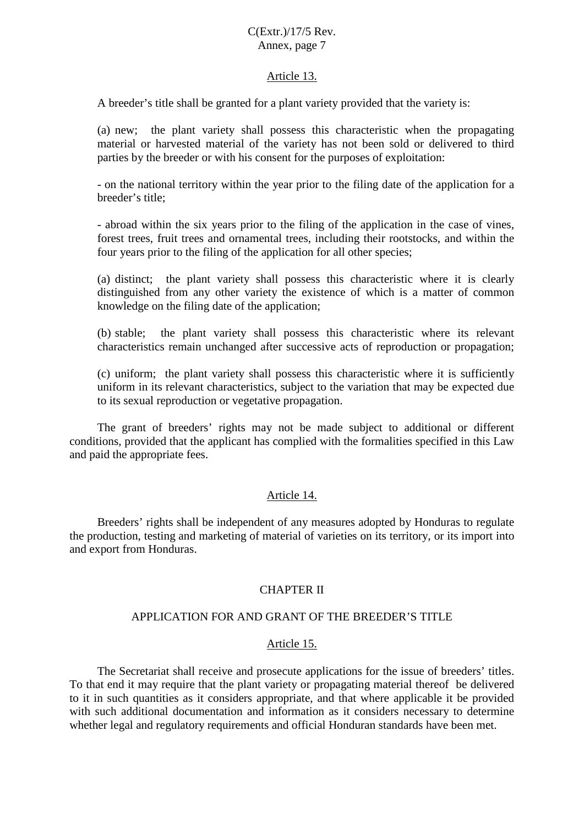#### Article 13.

A breeder's title shall be granted for a plant variety provided that the variety is:

(a) new; the plant variety shall possess this characteristic when the propagating material or harvested material of the variety has not been sold or delivered to third parties by the breeder or with his consent for the purposes of exploitation:

- on the national territory within the year prior to the filing date of the application for a breeder's title;

- abroad within the six years prior to the filing of the application in the case of vines, forest trees, fruit trees and ornamental trees, including their rootstocks, and within the four years prior to the filing of the application for all other species;

(a) distinct; the plant variety shall possess this characteristic where it is clearly distinguished from any other variety the existence of which is a matter of common knowledge on the filing date of the application;

(b) stable; the plant variety shall possess this characteristic where its relevant characteristics remain unchanged after successive acts of reproduction or propagation;

(c) uniform; the plant variety shall possess this characteristic where it is sufficiently uniform in its relevant characteristics, subject to the variation that may be expected due to its sexual reproduction or vegetative propagation.

The grant of breeders' rights may not be made subject to additional or different conditions, provided that the applicant has complied with the formalities specified in this Law and paid the appropriate fees.

#### Article 14.

Breeders' rights shall be independent of any measures adopted by Honduras to regulate the production, testing and marketing of material of varieties on its territory, or its import into and export from Honduras.

#### CHAPTER II

### APPLICATION FOR AND GRANT OF THE BREEDER'S TITLE

#### Article 15.

The Secretariat shall receive and prosecute applications for the issue of breeders' titles. To that end it may require that the plant variety or propagating material thereof be delivered to it in such quantities as it considers appropriate, and that where applicable it be provided with such additional documentation and information as it considers necessary to determine whether legal and regulatory requirements and official Honduran standards have been met.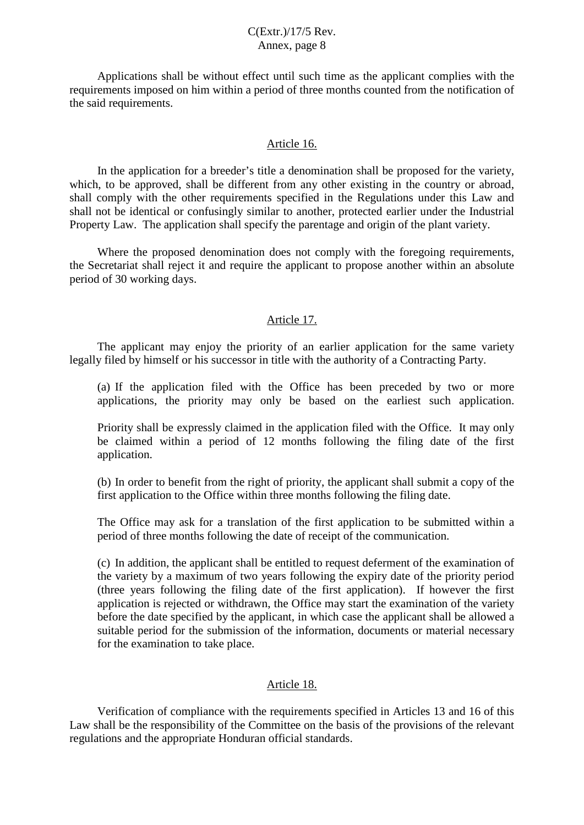Applications shall be without effect until such time as the applicant complies with the requirements imposed on him within a period of three months counted from the notification of the said requirements.

#### Article 16.

In the application for a breeder's title a denomination shall be proposed for the variety, which, to be approved, shall be different from any other existing in the country or abroad, shall comply with the other requirements specified in the Regulations under this Law and shall not be identical or confusingly similar to another, protected earlier under the Industrial Property Law. The application shall specify the parentage and origin of the plant variety.

Where the proposed denomination does not comply with the foregoing requirements, the Secretariat shall reject it and require the applicant to propose another within an absolute period of 30 working days.

#### Article 17.

The applicant may enjoy the priority of an earlier application for the same variety legally filed by himself or his successor in title with the authority of a Contracting Party.

(a) If the application filed with the Office has been preceded by two or more applications, the priority may only be based on the earliest such application.

Priority shall be expressly claimed in the application filed with the Office. It may only be claimed within a period of 12 months following the filing date of the first application.

(b) In order to benefit from the right of priority, the applicant shall submit a copy of the first application to the Office within three months following the filing date.

The Office may ask for a translation of the first application to be submitted within a period of three months following the date of receipt of the communication.

(c) In addition, the applicant shall be entitled to request deferment of the examination of the variety by a maximum of two years following the expiry date of the priority period (three years following the filing date of the first application). If however the first application is rejected or withdrawn, the Office may start the examination of the variety before the date specified by the applicant, in which case the applicant shall be allowed a suitable period for the submission of the information, documents or material necessary for the examination to take place.

#### Article 18.

Verification of compliance with the requirements specified in Articles 13 and 16 of this Law shall be the responsibility of the Committee on the basis of the provisions of the relevant regulations and the appropriate Honduran official standards.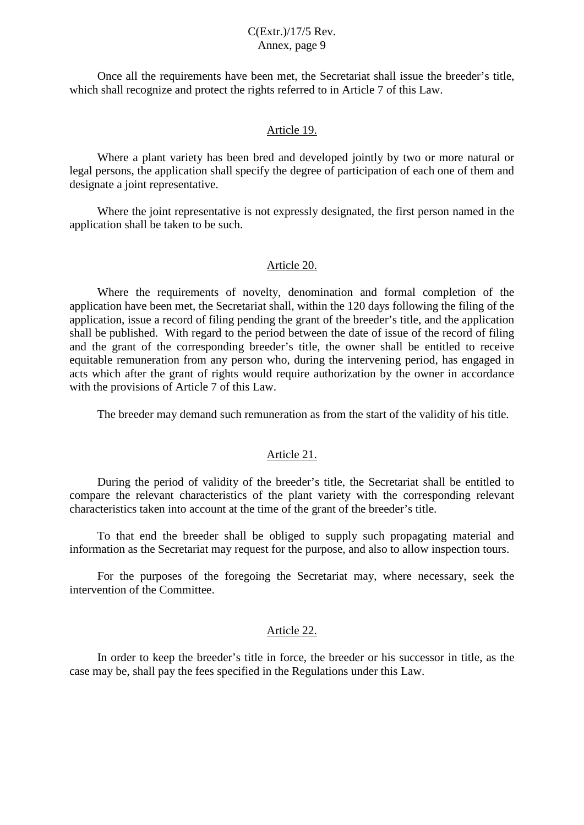Once all the requirements have been met, the Secretariat shall issue the breeder's title, which shall recognize and protect the rights referred to in Article 7 of this Law.

#### Article 19.

Where a plant variety has been bred and developed jointly by two or more natural or legal persons, the application shall specify the degree of participation of each one of them and designate a joint representative.

Where the joint representative is not expressly designated, the first person named in the application shall be taken to be such.

#### Article 20.

Where the requirements of novelty, denomination and formal completion of the application have been met, the Secretariat shall, within the 120 days following the filing of the application, issue a record of filing pending the grant of the breeder's title, and the application shall be published. With regard to the period between the date of issue of the record of filing and the grant of the corresponding breeder's title, the owner shall be entitled to receive equitable remuneration from any person who, during the intervening period, has engaged in acts which after the grant of rights would require authorization by the owner in accordance with the provisions of Article 7 of this Law.

The breeder may demand such remuneration as from the start of the validity of his title.

#### Article 21.

During the period of validity of the breeder's title, the Secretariat shall be entitled to compare the relevant characteristics of the plant variety with the corresponding relevant characteristics taken into account at the time of the grant of the breeder's title.

To that end the breeder shall be obliged to supply such propagating material and information as the Secretariat may request for the purpose, and also to allow inspection tours.

For the purposes of the foregoing the Secretariat may, where necessary, seek the intervention of the Committee.

#### Article 22.

In order to keep the breeder's title in force, the breeder or his successor in title, as the case may be, shall pay the fees specified in the Regulations under this Law.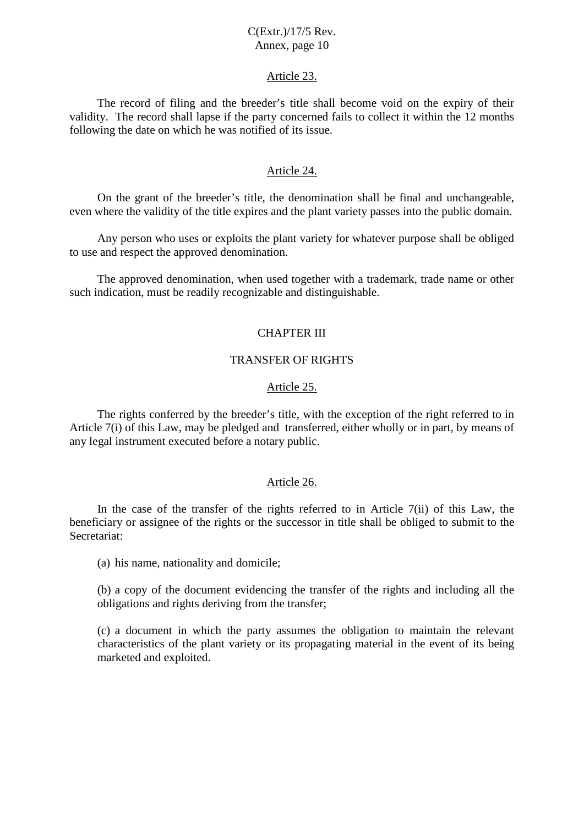#### Article 23.

The record of filing and the breeder's title shall become void on the expiry of their validity. The record shall lapse if the party concerned fails to collect it within the 12 months following the date on which he was notified of its issue.

#### Article 24.

On the grant of the breeder's title, the denomination shall be final and unchangeable, even where the validity of the title expires and the plant variety passes into the public domain.

Any person who uses or exploits the plant variety for whatever purpose shall be obliged to use and respect the approved denomination.

The approved denomination, when used together with a trademark, trade name or other such indication, must be readily recognizable and distinguishable.

#### CHAPTER III

### TRANSFER OF RIGHTS

#### Article 25.

The rights conferred by the breeder's title, with the exception of the right referred to in Article 7(i) of this Law, may be pledged and transferred, either wholly or in part, by means of any legal instrument executed before a notary public.

#### Article 26.

In the case of the transfer of the rights referred to in Article 7(ii) of this Law, the beneficiary or assignee of the rights or the successor in title shall be obliged to submit to the Secretariat:

(a) his name, nationality and domicile;

(b) a copy of the document evidencing the transfer of the rights and including all the obligations and rights deriving from the transfer;

(c) a document in which the party assumes the obligation to maintain the relevant characteristics of the plant variety or its propagating material in the event of its being marketed and exploited.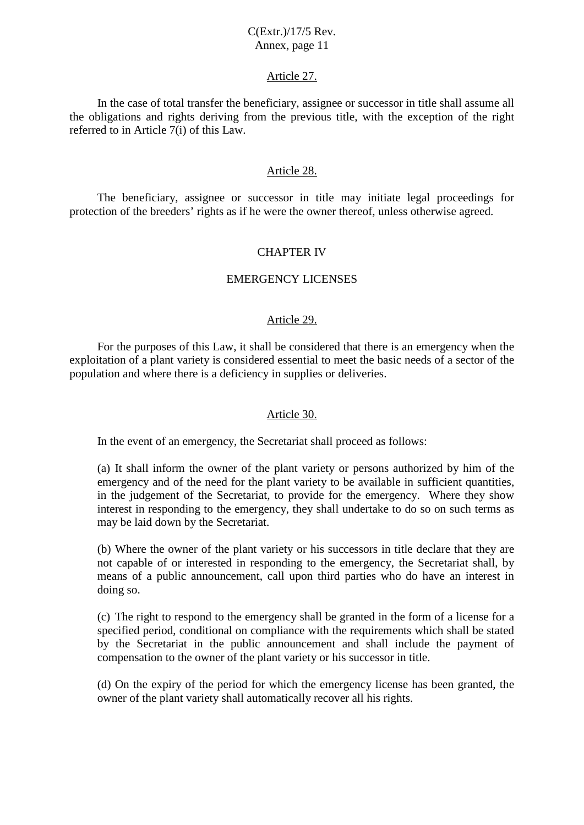#### Article 27.

In the case of total transfer the beneficiary, assignee or successor in title shall assume all the obligations and rights deriving from the previous title, with the exception of the right referred to in Article 7(i) of this Law.

#### Article 28.

The beneficiary, assignee or successor in title may initiate legal proceedings for protection of the breeders' rights as if he were the owner thereof, unless otherwise agreed.

### CHAPTER IV

#### EMERGENCY LICENSES

#### Article 29.

For the purposes of this Law, it shall be considered that there is an emergency when the exploitation of a plant variety is considered essential to meet the basic needs of a sector of the population and where there is a deficiency in supplies or deliveries.

#### Article 30.

In the event of an emergency, the Secretariat shall proceed as follows:

(a) It shall inform the owner of the plant variety or persons authorized by him of the emergency and of the need for the plant variety to be available in sufficient quantities, in the judgement of the Secretariat, to provide for the emergency. Where they show interest in responding to the emergency, they shall undertake to do so on such terms as may be laid down by the Secretariat.

(b) Where the owner of the plant variety or his successors in title declare that they are not capable of or interested in responding to the emergency, the Secretariat shall, by means of a public announcement, call upon third parties who do have an interest in doing so.

(c) The right to respond to the emergency shall be granted in the form of a license for a specified period, conditional on compliance with the requirements which shall be stated by the Secretariat in the public announcement and shall include the payment of compensation to the owner of the plant variety or his successor in title.

(d) On the expiry of the period for which the emergency license has been granted, the owner of the plant variety shall automatically recover all his rights.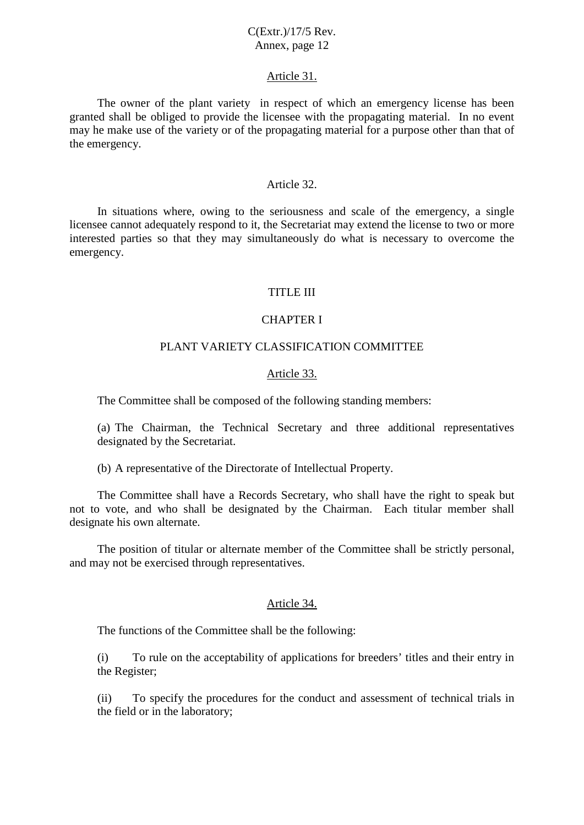#### Article 31.

The owner of the plant variety in respect of which an emergency license has been granted shall be obliged to provide the licensee with the propagating material. In no event may he make use of the variety or of the propagating material for a purpose other than that of the emergency.

#### Article 32.

In situations where, owing to the seriousness and scale of the emergency, a single licensee cannot adequately respond to it, the Secretariat may extend the license to two or more interested parties so that they may simultaneously do what is necessary to overcome the emergency.

#### TITLE III

#### CHAPTER I

### PLANT VARIETY CLASSIFICATION COMMITTEE

#### Article 33.

The Committee shall be composed of the following standing members:

(a) The Chairman, the Technical Secretary and three additional representatives designated by the Secretariat.

(b) A representative of the Directorate of Intellectual Property.

The Committee shall have a Records Secretary, who shall have the right to speak but not to vote, and who shall be designated by the Chairman. Each titular member shall designate his own alternate.

The position of titular or alternate member of the Committee shall be strictly personal, and may not be exercised through representatives.

#### Article 34.

The functions of the Committee shall be the following:

(i) To rule on the acceptability of applications for breeders' titles and their entry in the Register;

(ii) To specify the procedures for the conduct and assessment of technical trials in the field or in the laboratory;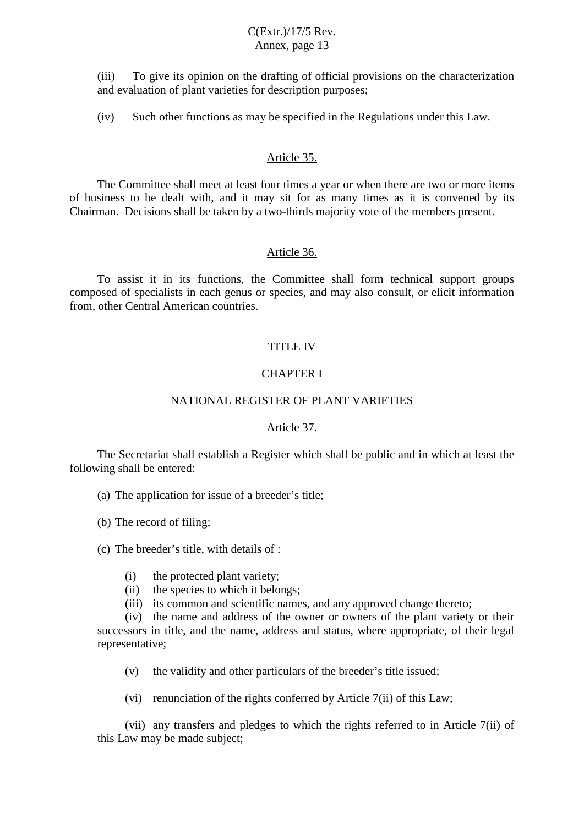(iii) To give its opinion on the drafting of official provisions on the characterization and evaluation of plant varieties for description purposes;

(iv) Such other functions as may be specified in the Regulations under this Law.

#### Article 35.

The Committee shall meet at least four times a year or when there are two or more items of business to be dealt with, and it may sit for as many times as it is convened by its Chairman. Decisions shall be taken by a two-thirds majority vote of the members present.

#### Article 36.

To assist it in its functions, the Committee shall form technical support groups composed of specialists in each genus or species, and may also consult, or elicit information from, other Central American countries.

### TITLE IV

### CHAPTER I

### NATIONAL REGISTER OF PLANT VARIETIES

#### Article 37.

The Secretariat shall establish a Register which shall be public and in which at least the following shall be entered:

(a) The application for issue of a breeder's title;

(b) The record of filing;

(c) The breeder's title, with details of :

- (i) the protected plant variety;
- (ii) the species to which it belongs;
- (iii) its common and scientific names, and any approved change thereto;

(iv) the name and address of the owner or owners of the plant variety or their successors in title, and the name, address and status, where appropriate, of their legal representative;

(v) the validity and other particulars of the breeder's title issued;

(vi) renunciation of the rights conferred by Article 7(ii) of this Law;

(vii) any transfers and pledges to which the rights referred to in Article 7(ii) of this Law may be made subject;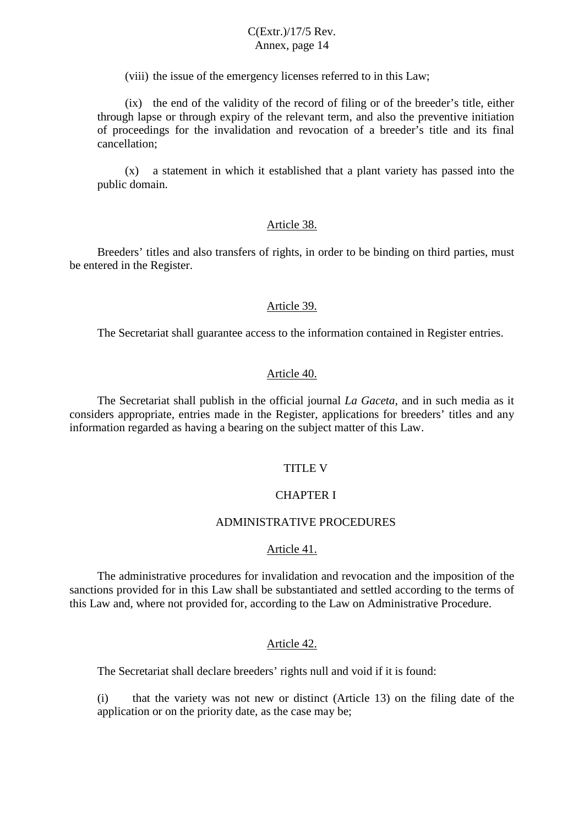(viii) the issue of the emergency licenses referred to in this Law;

(ix) the end of the validity of the record of filing or of the breeder's title, either through lapse or through expiry of the relevant term, and also the preventive initiation of proceedings for the invalidation and revocation of a breeder's title and its final cancellation;

(x) a statement in which it established that a plant variety has passed into the public domain.

#### Article 38.

Breeders' titles and also transfers of rights, in order to be binding on third parties, must be entered in the Register.

#### Article 39.

The Secretariat shall guarantee access to the information contained in Register entries.

#### Article 40.

The Secretariat shall publish in the official journal *La Gaceta,* and in such media as it considers appropriate, entries made in the Register, applications for breeders' titles and any information regarded as having a bearing on the subject matter of this Law.

#### TITLE V

#### CHAPTER I

### ADMINISTRATIVE PROCEDURES

#### Article 41.

The administrative procedures for invalidation and revocation and the imposition of the sanctions provided for in this Law shall be substantiated and settled according to the terms of this Law and, where not provided for, according to the Law on Administrative Procedure.

#### Article 42.

The Secretariat shall declare breeders' rights null and void if it is found:

(i) that the variety was not new or distinct (Article 13) on the filing date of the application or on the priority date, as the case may be;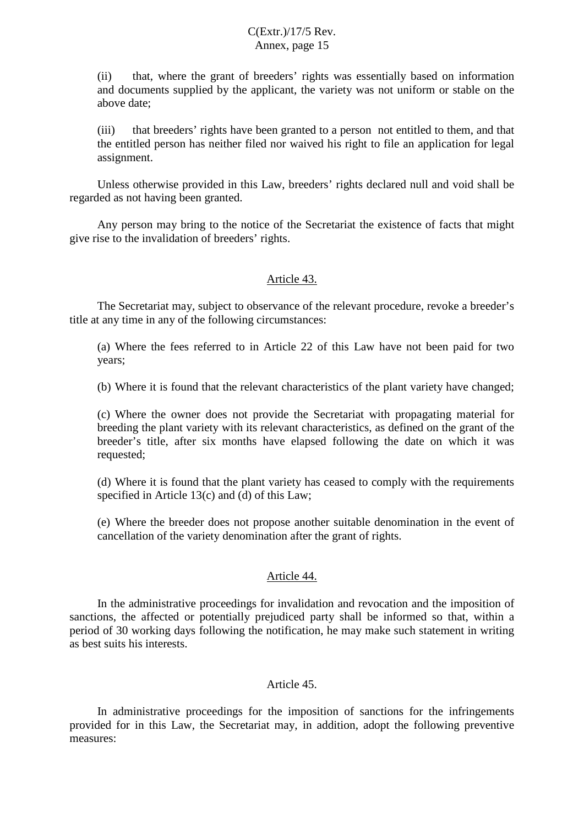(ii) that, where the grant of breeders' rights was essentially based on information and documents supplied by the applicant, the variety was not uniform or stable on the above date;

(iii) that breeders' rights have been granted to a person not entitled to them, and that the entitled person has neither filed nor waived his right to file an application for legal assignment.

Unless otherwise provided in this Law, breeders' rights declared null and void shall be regarded as not having been granted.

Any person may bring to the notice of the Secretariat the existence of facts that might give rise to the invalidation of breeders' rights.

#### Article 43.

The Secretariat may, subject to observance of the relevant procedure, revoke a breeder's title at any time in any of the following circumstances:

(a) Where the fees referred to in Article 22 of this Law have not been paid for two years;

(b) Where it is found that the relevant characteristics of the plant variety have changed;

(c) Where the owner does not provide the Secretariat with propagating material for breeding the plant variety with its relevant characteristics, as defined on the grant of the breeder's title, after six months have elapsed following the date on which it was requested;

(d) Where it is found that the plant variety has ceased to comply with the requirements specified in Article 13(c) and (d) of this Law;

(e) Where the breeder does not propose another suitable denomination in the event of cancellation of the variety denomination after the grant of rights.

#### Article 44.

In the administrative proceedings for invalidation and revocation and the imposition of sanctions, the affected or potentially prejudiced party shall be informed so that, within a period of 30 working days following the notification, he may make such statement in writing as best suits his interests.

#### Article 45.

In administrative proceedings for the imposition of sanctions for the infringements provided for in this Law, the Secretariat may, in addition, adopt the following preventive measures: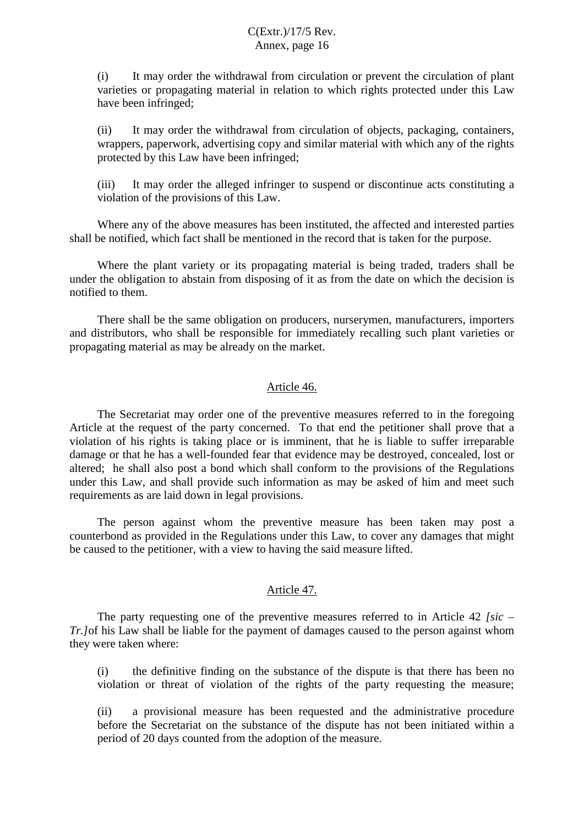(i) It may order the withdrawal from circulation or prevent the circulation of plant varieties or propagating material in relation to which rights protected under this Law have been infringed;

(ii) It may order the withdrawal from circulation of objects, packaging, containers, wrappers, paperwork, advertising copy and similar material with which any of the rights protected by this Law have been infringed;

(iii) It may order the alleged infringer to suspend or discontinue acts constituting a violation of the provisions of this Law.

Where any of the above measures has been instituted, the affected and interested parties shall be notified, which fact shall be mentioned in the record that is taken for the purpose.

Where the plant variety or its propagating material is being traded, traders shall be under the obligation to abstain from disposing of it as from the date on which the decision is notified to them.

There shall be the same obligation on producers, nurserymen, manufacturers, importers and distributors, who shall be responsible for immediately recalling such plant varieties or propagating material as may be already on the market.

### Article 46.

The Secretariat may order one of the preventive measures referred to in the foregoing Article at the request of the party concerned. To that end the petitioner shall prove that a violation of his rights is taking place or is imminent, that he is liable to suffer irreparable damage or that he has a well-founded fear that evidence may be destroyed, concealed, lost or altered; he shall also post a bond which shall conform to the provisions of the Regulations under this Law, and shall provide such information as may be asked of him and meet such requirements as are laid down in legal provisions.

The person against whom the preventive measure has been taken may post a counterbond as provided in the Regulations under this Law, to cover any damages that might be caused to the petitioner, with a view to having the said measure lifted.

#### Article 47.

The party requesting one of the preventive measures referred to in Article 42 *[sic – Tr.]*of his Law shall be liable for the payment of damages caused to the person against whom they were taken where:

(i) the definitive finding on the substance of the dispute is that there has been no violation or threat of violation of the rights of the party requesting the measure;

(ii) a provisional measure has been requested and the administrative procedure before the Secretariat on the substance of the dispute has not been initiated within a period of 20 days counted from the adoption of the measure.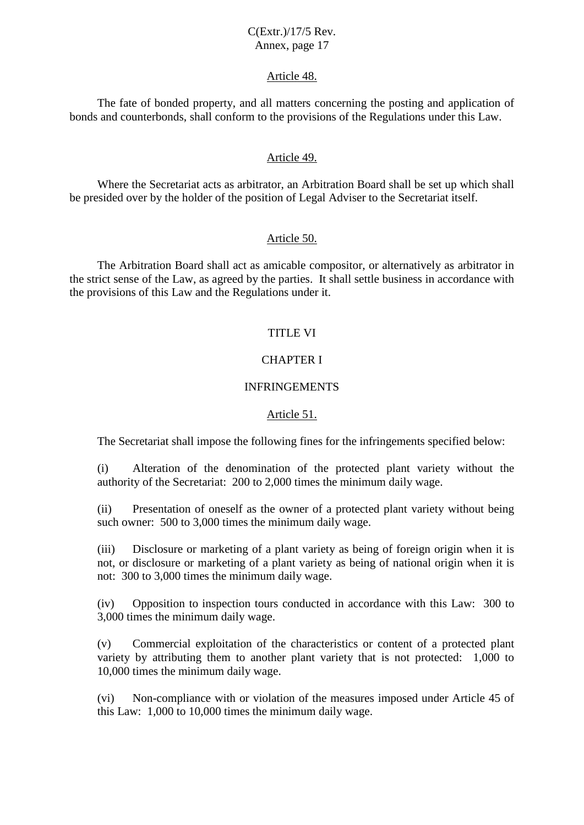#### Article 48.

The fate of bonded property, and all matters concerning the posting and application of bonds and counterbonds, shall conform to the provisions of the Regulations under this Law.

#### Article 49.

Where the Secretariat acts as arbitrator, an Arbitration Board shall be set up which shall be presided over by the holder of the position of Legal Adviser to the Secretariat itself.

#### Article 50.

The Arbitration Board shall act as amicable compositor, or alternatively as arbitrator in the strict sense of the Law, as agreed by the parties. It shall settle business in accordance with the provisions of this Law and the Regulations under it.

#### TITLE VI

### CHAPTER I

#### INFRINGEMENTS

#### Article 51.

The Secretariat shall impose the following fines for the infringements specified below:

(i) Alteration of the denomination of the protected plant variety without the authority of the Secretariat: 200 to 2,000 times the minimum daily wage.

(ii) Presentation of oneself as the owner of a protected plant variety without being such owner: 500 to 3,000 times the minimum daily wage.

(iii) Disclosure or marketing of a plant variety as being of foreign origin when it is not, or disclosure or marketing of a plant variety as being of national origin when it is not: 300 to 3,000 times the minimum daily wage.

(iv) Opposition to inspection tours conducted in accordance with this Law: 300 to 3,000 times the minimum daily wage.

(v) Commercial exploitation of the characteristics or content of a protected plant variety by attributing them to another plant variety that is not protected: 1,000 to 10,000 times the minimum daily wage.

(vi) Non-compliance with or violation of the measures imposed under Article 45 of this Law: 1,000 to 10,000 times the minimum daily wage.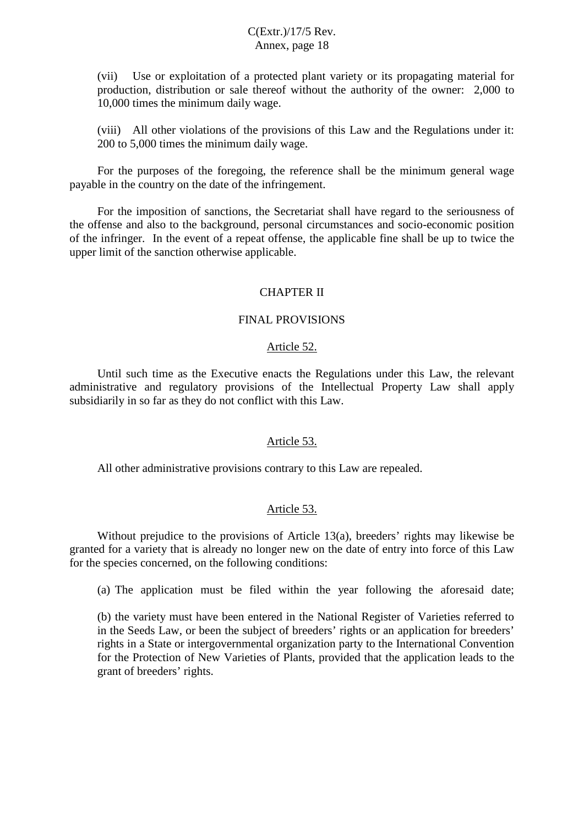(vii) Use or exploitation of a protected plant variety or its propagating material for production, distribution or sale thereof without the authority of the owner: 2,000 to 10,000 times the minimum daily wage.

(viii) All other violations of the provisions of this Law and the Regulations under it: 200 to 5,000 times the minimum daily wage.

For the purposes of the foregoing, the reference shall be the minimum general wage payable in the country on the date of the infringement.

For the imposition of sanctions, the Secretariat shall have regard to the seriousness of the offense and also to the background, personal circumstances and socio-economic position of the infringer. In the event of a repeat offense, the applicable fine shall be up to twice the upper limit of the sanction otherwise applicable.

### CHAPTER II

#### FINAL PROVISIONS

#### Article 52.

Until such time as the Executive enacts the Regulations under this Law, the relevant administrative and regulatory provisions of the Intellectual Property Law shall apply subsidiarily in so far as they do not conflict with this Law.

#### Article 53.

All other administrative provisions contrary to this Law are repealed.

#### Article 53.

Without prejudice to the provisions of Article 13(a), breeders' rights may likewise be granted for a variety that is already no longer new on the date of entry into force of this Law for the species concerned, on the following conditions:

(a) The application must be filed within the year following the aforesaid date;

(b) the variety must have been entered in the National Register of Varieties referred to in the Seeds Law, or been the subject of breeders' rights or an application for breeders' rights in a State or intergovernmental organization party to the International Convention for the Protection of New Varieties of Plants, provided that the application leads to the grant of breeders' rights.